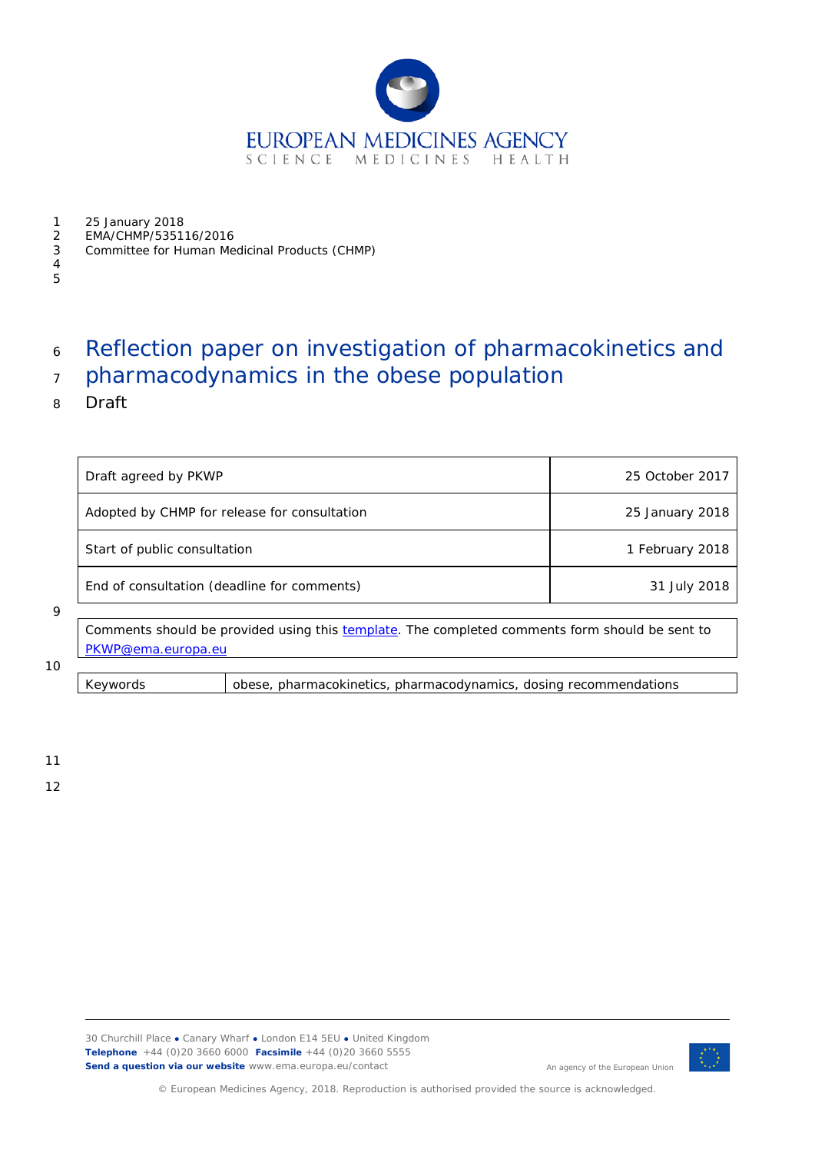

- 1 25 January 2018
- 2 EMA/CHMP/535116/2016
- 3 Committee for Human Medicinal Products (CHMP)
- 4 5

# <sup>6</sup> Reflection paper on investigation of pharmacokinetics and

- <sup>7</sup> pharmacodynamics in the obese population
- 8 Draft

| Draft agreed by PKWP                         | 25 October 2017 |  |
|----------------------------------------------|-----------------|--|
| Adopted by CHMP for release for consultation | 25 January 2018 |  |
| Start of public consultation                 | 1 February 2018 |  |
| End of consultation (deadline for comments)  | 31 July 2018    |  |

#### 9

Comments should be provided using this [template.](http://www.ema.europa.eu/docs/en_GB/document_library/Template_or_form/2009/10/WC500004016.doc) The completed comments form should be sent to [PKWP@ema.europa.eu](mailto:PKWP@ema.europa.eu)

#### 10

Keywords *obese, pharmacokinetics, pharmacodynamics, dosing recommendations*

11

12



An agency of the European Union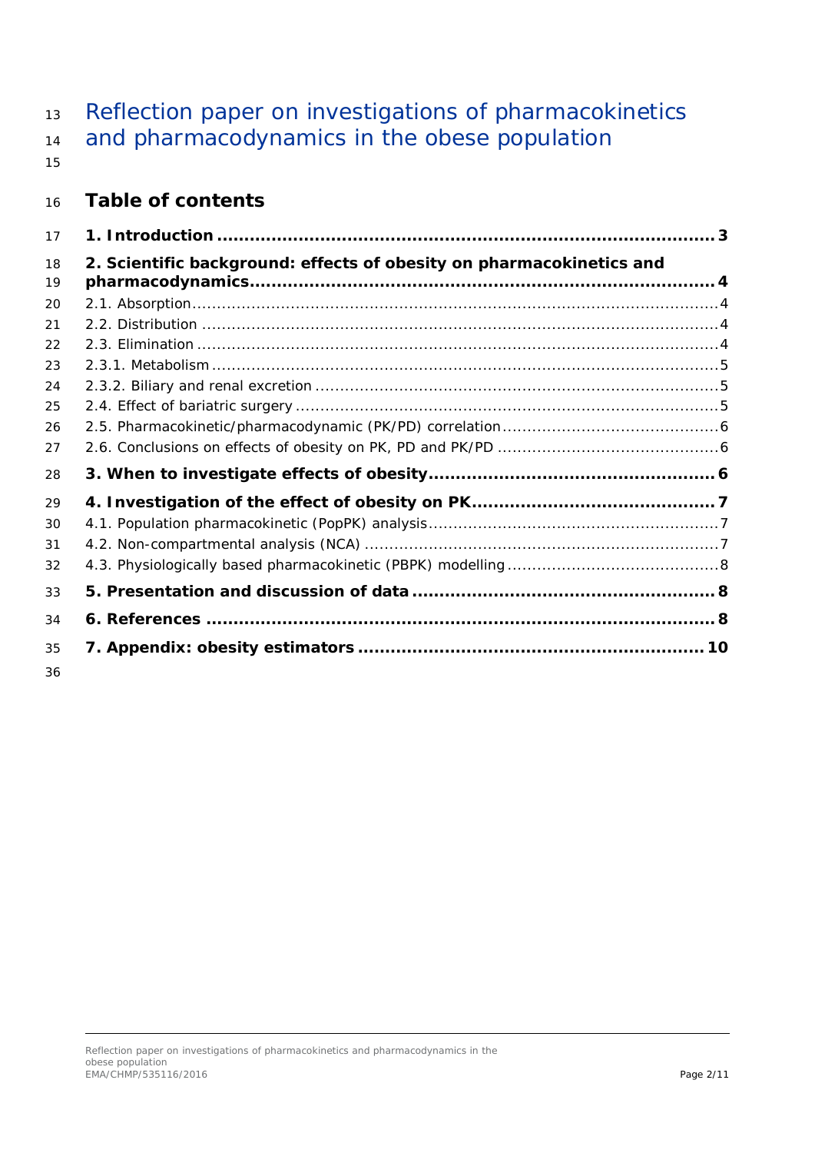13 Reflection paper on investigations of pharmacokinetics and pharmacodynamics in the obese population 

# **Table of contents**

| 17       |                                                                      |  |
|----------|----------------------------------------------------------------------|--|
| 18<br>19 | 2. Scientific background: effects of obesity on pharmacokinetics and |  |
| 20       |                                                                      |  |
| 21       |                                                                      |  |
| 22       |                                                                      |  |
| 23       |                                                                      |  |
| 24       |                                                                      |  |
| 25       |                                                                      |  |
| 26       |                                                                      |  |
| 27       |                                                                      |  |
| 28       |                                                                      |  |
| 29       |                                                                      |  |
| 30       |                                                                      |  |
| 31       |                                                                      |  |
| 32       |                                                                      |  |
| 33       |                                                                      |  |
| 34       |                                                                      |  |
| 35       |                                                                      |  |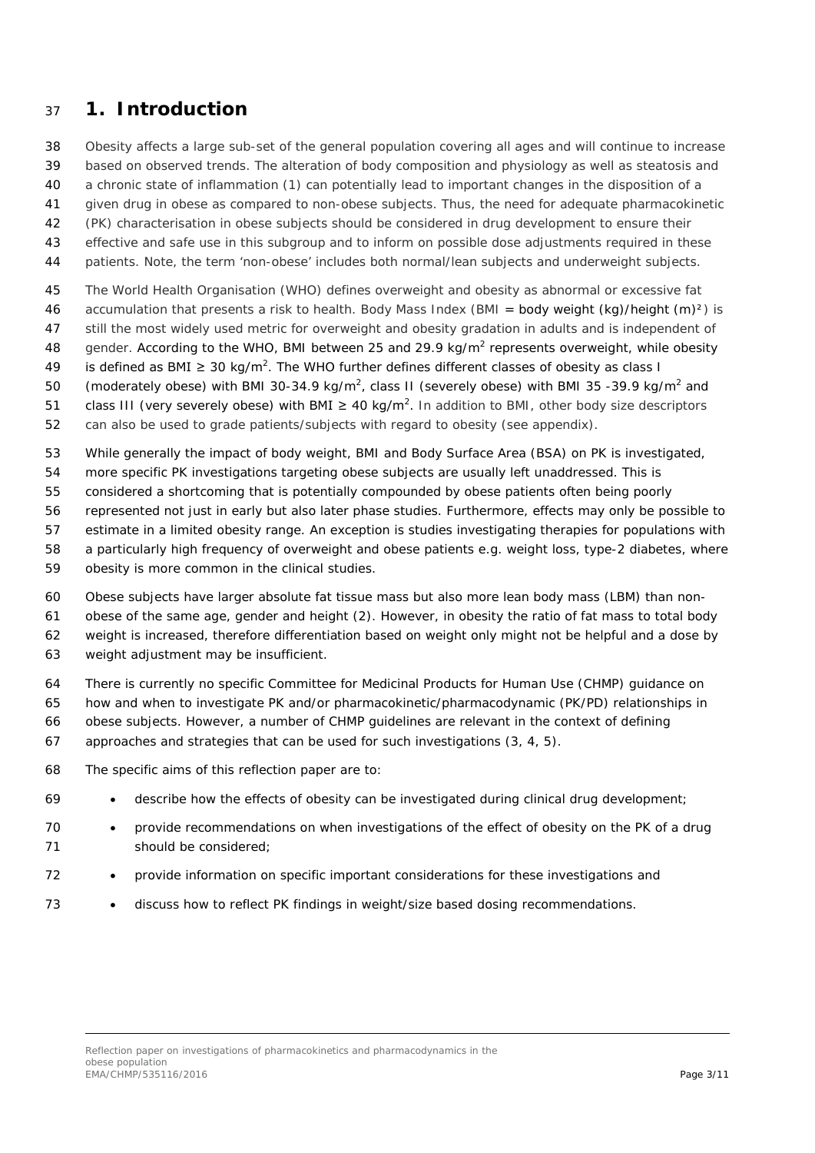### <span id="page-2-0"></span>**1. Introduction**

Obesity affects a large sub-set of the general population covering all ages and will continue to increase

based on observed trends. The alteration of body composition and physiology as well as steatosis and

a chronic state of inflammation (1) can potentially lead to important changes in the disposition of a

given drug in obese as compared to non-obese subjects. Thus, the need for adequate pharmacokinetic

- (PK) characterisation in obese subjects should be considered in drug development to ensure their
- effective and safe use in this subgroup and to inform on possible dose adjustments required in these
- patients. Note, the term 'non-obese' includes both normal/lean subjects and underweight subjects.
- The World Health Organisation (WHO) defines overweight and obesity as abnormal or excessive fat
- accumulation that presents a risk to health. Body Mass Index (BMI = body weight (kg)/height (m)²) is
- still the most widely used metric for overweight and obesity gradation in adults and is independent of
- 48 gender. According to the WHO, BMI between 25 and 29.9 kg/ $m^2$  represents overweight, while obesity
- 49 is defined as BMI ≥ 30 kg/m<sup>2</sup>. The WHO further defines different classes of obesity as class I
- 50 (moderately obese) with BMI 30-34.9 kg/m<sup>2</sup>, class II (severely obese) with BMI 35-39.9 kg/m<sup>2</sup> and
- 51 class III (very severely obese) with BMI  $\geq$  40 kg/m<sup>2</sup>. In addition to BMI, other body size descriptors
- can also be used to grade patients/subjects with regard to obesity (see appendix).

While generally the impact of body weight, BMI and Body Surface Area (BSA) on PK is investigated,

- more specific PK investigations targeting obese subjects are usually left unaddressed. This is
- considered a shortcoming that is potentially compounded by obese patients often being poorly
- represented not just in early but also later phase studies. Furthermore, effects may only be possible to
- estimate in a limited obesity range. An exception is studies investigating therapies for populations with
- a particularly high frequency of overweight and obese patients e.g. weight loss, type-2 diabetes, where
- obesity is more common in the clinical studies.
- Obese subjects have larger absolute fat tissue mass but also more lean body mass (LBM) than non-
- obese of the same age, gender and height (2). However, in obesity the ratio of fat mass to total body
- weight is increased, therefore differentiation based on weight only might not be helpful and a dose by
- weight adjustment may be insufficient.
- There is currently no specific Committee for Medicinal Products for Human Use (CHMP) guidance on
- how and when to investigate PK and/or pharmacokinetic/pharmacodynamic (PK/PD) relationships in
- obese subjects. However, a number of CHMP guidelines are relevant in the context of defining
- approaches and strategies that can be used for such investigations (3, 4, 5).
- The specific aims of this reflection paper are to:
- describe how the effects of obesity can be investigated during clinical drug development;
- 70 provide recommendations on when investigations of the effect of obesity on the PK of a drug 71 should be considered;
- provide information on specific important considerations for these investigations and
- discuss how to reflect PK findings in weight/size based dosing recommendations.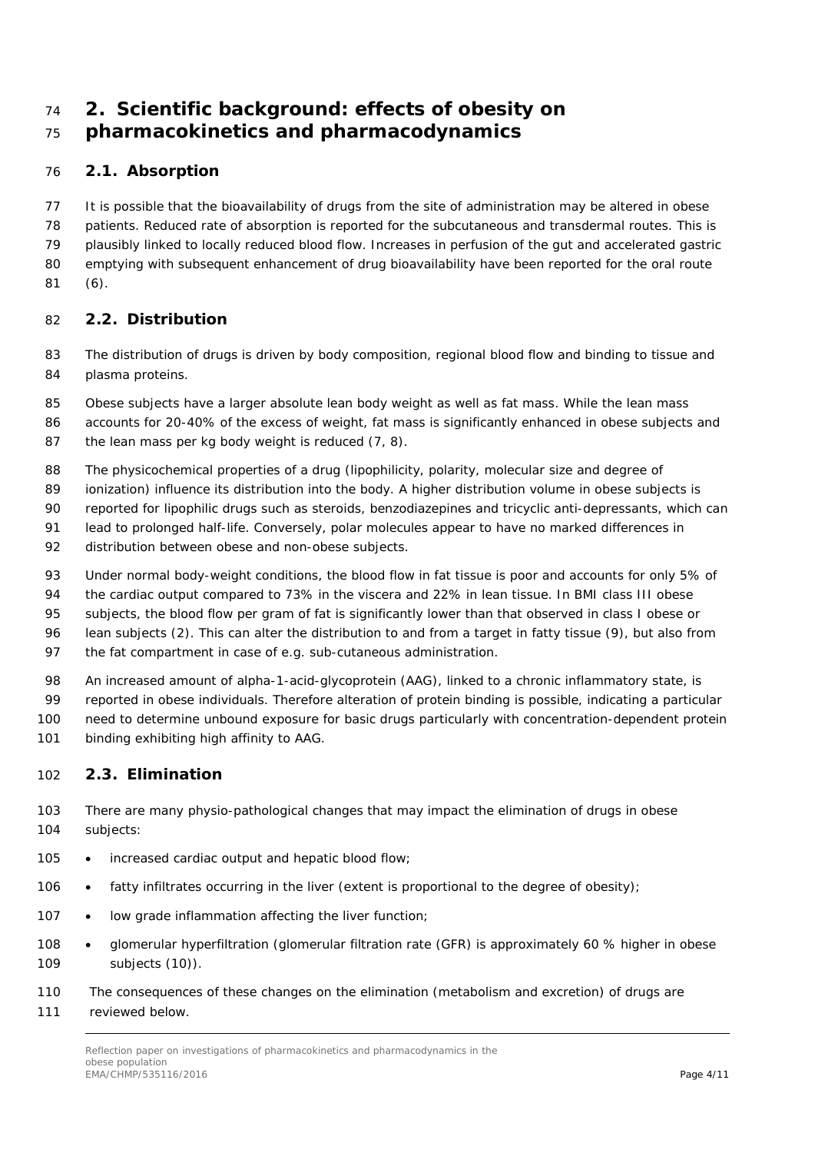# <span id="page-3-0"></span> **2. Scientific background: effects of obesity on pharmacokinetics and pharmacodynamics**

### <span id="page-3-1"></span>*2.1. Absorption*

 It is possible that the bioavailability of drugs from the site of administration may be altered in obese patients. Reduced rate of absorption is reported for the subcutaneous and transdermal routes. This is plausibly linked to locally reduced blood flow. Increases in perfusion of the gut and accelerated gastric 80 emptying with subsequent enhancement of drug bioavailability have been reported for the oral route (6).

### <span id="page-3-2"></span>*2.2. Distribution*

 The distribution of drugs is driven by body composition, regional blood flow and binding to tissue and plasma proteins.

85 Obese subjects have a larger absolute lean body weight as well as fat mass. While the lean mass

- accounts for 20-40% of the excess of weight, fat mass is significantly enhanced in obese subjects and 87 the lean mass per kg body weight is reduced  $(7, 8)$ .
- The physicochemical properties of a drug (lipophilicity, polarity, molecular size and degree of
- ionization) influence its distribution into the body. A higher distribution volume in obese subjects is
- reported for lipophilic drugs such as steroids, benzodiazepines and tricyclic anti-depressants, which can
- 91 lead to prolonged half-life. Conversely, polar molecules appear to have no marked differences in
- distribution between obese and non-obese subjects.
- 93 Under normal body-weight conditions, the blood flow in fat tissue is poor and accounts for only 5% of
- 94 the cardiac output compared to 73% in the viscera and 22% in lean tissue. In BMI class III obese
- 95 subjects, the blood flow per gram of fat is significantly lower than that observed in class I obese or
- lean subjects (2). This can alter the distribution to and from a target in fatty tissue (9), but also from
- the fat compartment in case of e.g. sub-cutaneous administration.
- 98 An increased amount of alpha-1-acid-glycoprotein (AAG), linked to a chronic inflammatory state, is
- reported in obese individuals. Therefore alteration of protein binding is possible, indicating a particular need to determine unbound exposure for basic drugs particularly with concentration-dependent protein
- 101 binding exhibiting high affinity to AAG.

### <span id="page-3-3"></span>*2.3. Elimination*

- There are many physio-pathological changes that may impact the elimination of drugs in obese subjects:
- 105 increased cardiac output and hepatic blood flow;
- 106 fatty infiltrates occurring in the liver (extent is proportional to the degree of obesity);
- 107 low grade inflammation affecting the liver function;
- 108 glomerular hyperfiltration (glomerular filtration rate (GFR) is approximately 60 % higher in obese subjects (10)).
- The consequences of these changes on the elimination (metabolism and excretion) of drugs are
- reviewed below.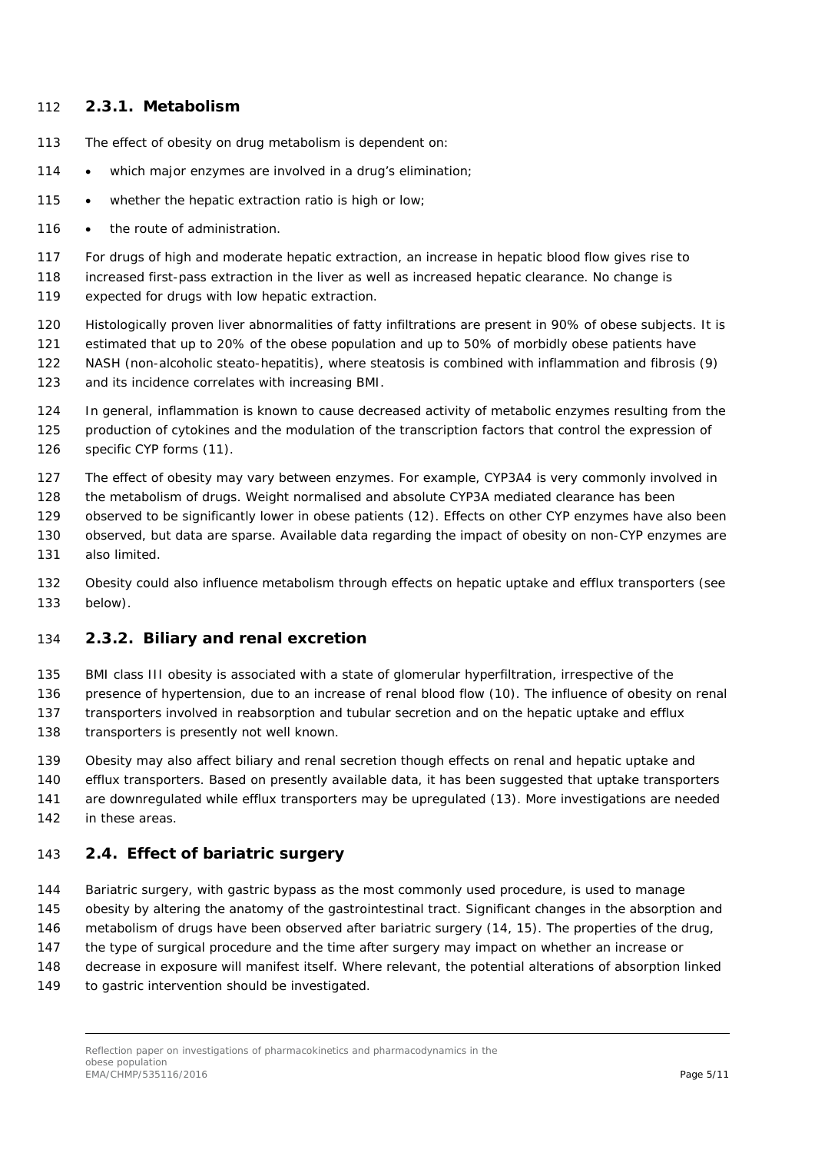#### <span id="page-4-0"></span>**2.3.1. Metabolism**

- The effect of obesity on drug metabolism is dependent on:
- 114 which major enzymes are involved in a drug's elimination;
- 115 whether the hepatic extraction ratio is high or low:
- 116 the route of administration.

For drugs of high and moderate hepatic extraction, an increase in hepatic blood flow gives rise to

- increased first-pass extraction in the liver as well as increased hepatic clearance. No change is
- expected for drugs with low hepatic extraction.
- Histologically proven liver abnormalities of fatty infiltrations are present in 90% of obese subjects. It is estimated that up to 20% of the obese population and up to 50% of morbidly obese patients have
- NASH (non-alcoholic steato-hepatitis), where steatosis is combined with inflammation and fibrosis (9) and its incidence correlates with increasing BMI.
- In general, inflammation is known to cause decreased activity of metabolic enzymes resulting from the production of cytokines and the modulation of the transcription factors that control the expression of specific CYP forms (11).
- The effect of obesity may vary between enzymes. For example, CYP3A4 is very commonly involved in
- the metabolism of drugs. Weight normalised and absolute CYP3A mediated clearance has been
- observed to be significantly lower in obese patients (12). Effects on other CYP enzymes have also been
- observed, but data are sparse. Available data regarding the impact of obesity on non-CYP enzymes are also limited.
- Obesity could also influence metabolism through effects on hepatic uptake and efflux transporters (see below).

#### <span id="page-4-1"></span>**2.3.2. Biliary and renal excretion**

- BMI class III obesity is associated with a state of glomerular hyperfiltration, irrespective of the
- presence of hypertension, due to an increase of renal blood flow (10). The influence of obesity on renal
- transporters involved in reabsorption and tubular secretion and on the hepatic uptake and efflux
- 138 transporters is presently not well known.
- Obesity may also affect biliary and renal secretion though effects on renal and hepatic uptake and
- efflux transporters. Based on presently available data, it has been suggested that uptake transporters are downregulated while efflux transporters may be upregulated (13). More investigations are needed in these areas.

### <span id="page-4-2"></span>*2.4. Effect of bariatric surgery*

- Bariatric surgery, with gastric bypass as the most commonly used procedure, is used to manage
- obesity by altering the anatomy of the gastrointestinal tract. Significant changes in the absorption and
- metabolism of drugs have been observed after bariatric surgery (14, 15). The properties of the drug,
- the type of surgical procedure and the time after surgery may impact on whether an increase or
- decrease in exposure will manifest itself. Where relevant, the potential alterations of absorption linked
- to gastric intervention should be investigated.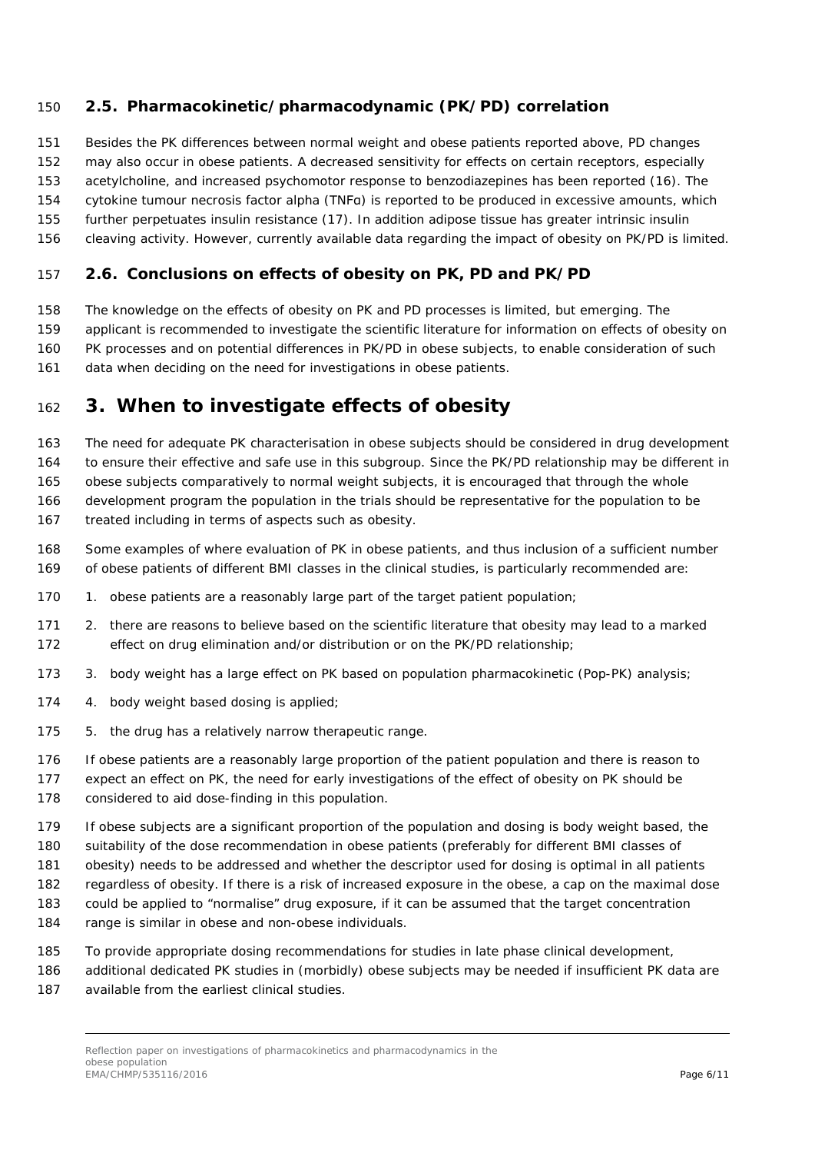### <span id="page-5-0"></span>*2.5. Pharmacokinetic/pharmacodynamic (PK/PD) correlation*

Besides the PK differences between normal weight and obese patients reported above, PD changes

may also occur in obese patients. A decreased sensitivity for effects on certain receptors, especially

acetylcholine, and increased psychomotor response to benzodiazepines has been reported (16). The

cytokine tumour necrosis factor alpha (TNFα) is reported to be produced in excessive amounts, which

 further perpetuates insulin resistance (17). In addition adipose tissue has greater intrinsic insulin cleaving activity. However, currently available data regarding the impact of obesity on PK/PD is limited.

### <span id="page-5-1"></span>*2.6. Conclusions on effects of obesity on PK, PD and PK/PD*

The knowledge on the effects of obesity on PK and PD processes is limited, but emerging. The

applicant is recommended to investigate the scientific literature for information on effects of obesity on

PK processes and on potential differences in PK/PD in obese subjects, to enable consideration of such

161 data when deciding on the need for investigations in obese patients.

### <span id="page-5-2"></span>**3. When to investigate effects of obesity**

The need for adequate PK characterisation in obese subjects should be considered in drug development

to ensure their effective and safe use in this subgroup. Since the PK/PD relationship may be different in

165 obese subjects comparatively to normal weight subjects, it is encouraged that through the whole

 development program the population in the trials should be representative for the population to be treated including in terms of aspects such as obesity.

 Some examples of where evaluation of PK in obese patients, and thus inclusion of a sufficient number of obese patients of different BMI classes in the clinical studies, is particularly recommended are:

- 1. obese patients are a reasonably large part of the target patient population;
- 2. there are reasons to believe based on the scientific literature that obesity may lead to a marked effect on drug elimination and/or distribution or on the PK/PD relationship;
- 3. body weight has a large effect on PK based on population pharmacokinetic (Pop-PK) analysis;
- 4. body weight based dosing is applied;
- 5. the drug has a relatively narrow therapeutic range.
- If obese patients are a reasonably large proportion of the patient population and there is reason to

 expect an effect on PK, the need for early investigations of the effect of obesity on PK should be considered to aid dose-finding in this population.

If obese subjects are a significant proportion of the population and dosing is body weight based, the

 suitability of the dose recommendation in obese patients (preferably for different BMI classes of obesity) needs to be addressed and whether the descriptor used for dosing is optimal in all patients

regardless of obesity. If there is a risk of increased exposure in the obese, a cap on the maximal dose

could be applied to "normalise" drug exposure, if it can be assumed that the target concentration

range is similar in obese and non-obese individuals.

To provide appropriate dosing recommendations for studies in late phase clinical development,

additional dedicated PK studies in (morbidly) obese subjects may be needed if insufficient PK data are

available from the earliest clinical studies.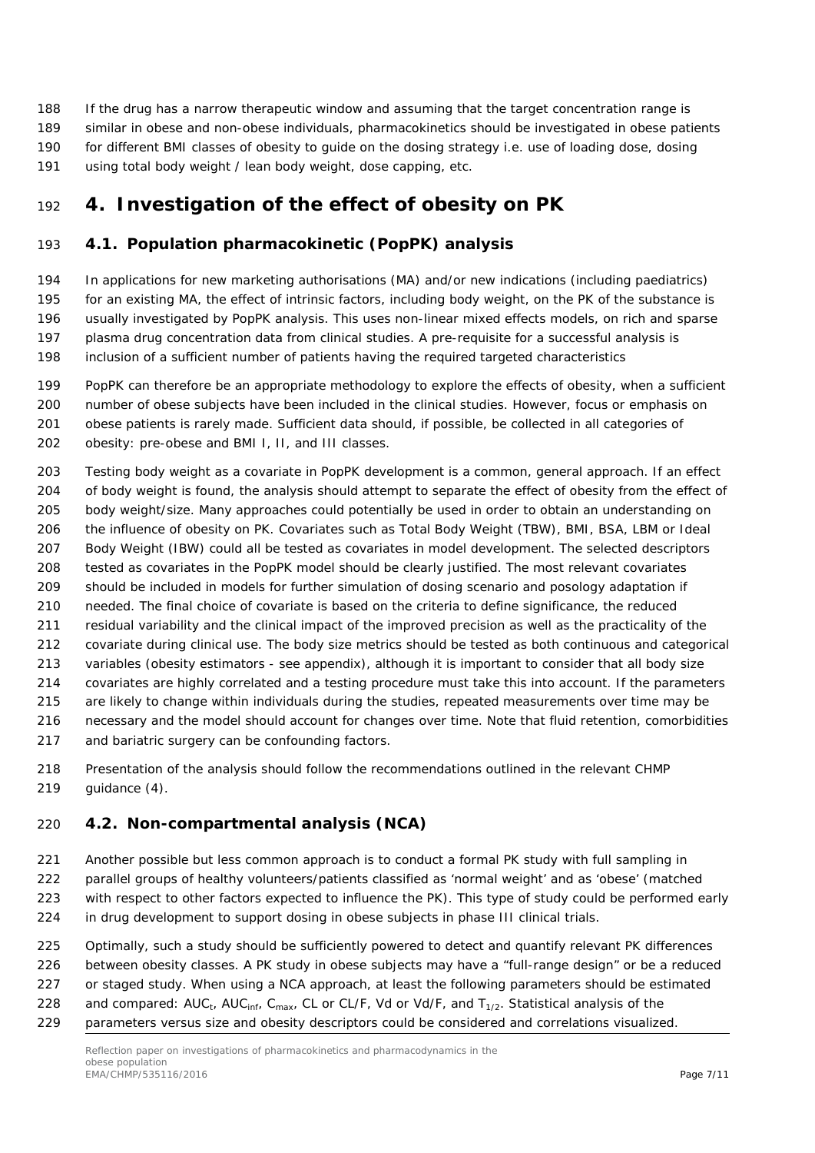If the drug has a narrow therapeutic window and assuming that the target concentration range is similar in obese and non-obese individuals, pharmacokinetics should be investigated in obese patients for different BMI classes of obesity to guide on the dosing strategy i.e. use of loading dose, dosing using total body weight / lean body weight, dose capping, etc.

# <span id="page-6-0"></span>**4. Investigation of the effect of obesity on PK**

### <span id="page-6-1"></span>*4.1. Population pharmacokinetic (PopPK) analysis*

 In applications for new marketing authorisations (MA) and/or new indications (including paediatrics) for an existing MA, the effect of intrinsic factors, including body weight, on the PK of the substance is usually investigated by PopPK analysis. This uses non-linear mixed effects models, on rich and sparse plasma drug concentration data from clinical studies. A pre-requisite for a successful analysis is inclusion of a sufficient number of patients having the required targeted characteristics

- PopPK can therefore be an appropriate methodology to explore the effects of obesity, when a sufficient number of obese subjects have been included in the clinical studies. However, focus or emphasis on 201 obese patients is rarely made. Sufficient data should, if possible, be collected in all categories of obesity: pre-obese and BMI I, II, and III classes.
- Testing body weight as a covariate in PopPK development is a common, general approach. If an effect 204 of body weight is found, the analysis should attempt to separate the effect of obesity from the effect of body weight/size. Many approaches could potentially be used in order to obtain an understanding on the influence of obesity on PK. Covariates such as Total Body Weight (TBW), BMI, BSA, LBM or Ideal Body Weight (IBW) could all be tested as covariates in model development. The selected descriptors tested as covariates in the PopPK model should be clearly justified. The most relevant covariates should be included in models for further simulation of dosing scenario and posology adaptation if needed. The final choice of covariate is based on the criteria to define significance, the reduced residual variability and the clinical impact of the improved precision as well as the practicality of the covariate during clinical use. The body size metrics should be tested as both continuous and categorical variables (obesity estimators - see appendix), although it is important to consider that all body size covariates are highly correlated and a testing procedure must take this into account. If the parameters are likely to change within individuals during the studies, repeated measurements over time may be necessary and the model should account for changes over time. Note that fluid retention, comorbidities and bariatric surgery can be confounding factors.
- Presentation of the analysis should follow the recommendations outlined in the relevant CHMP guidance (4).

### <span id="page-6-2"></span>*4.2. Non-compartmental analysis (NCA)*

- Another possible but less common approach is to conduct a formal PK study with full sampling in
- parallel groups of healthy volunteers/patients classified as 'normal weight' and as 'obese' (matched
- with respect to other factors expected to influence the PK). This type of study could be performed early in drug development to support dosing in obese subjects in phase III clinical trials.
- 225 Optimally, such a study should be sufficiently powered to detect and quantify relevant PK differences
- between obesity classes. A PK study in obese subjects may have a "full-range design" or be a reduced
- or staged study. When using a NCA approach, at least the following parameters should be estimated
- 228 and compared:  $AUC_{\text{tr}}$ ,  $AUC_{\text{inf}}$ ,  $C_{\text{max}}$ , CL or CL/F, Vd or Vd/F, and  $T_{1/2}$ . Statistical analysis of the
- parameters versus size and obesity descriptors could be considered and correlations visualized.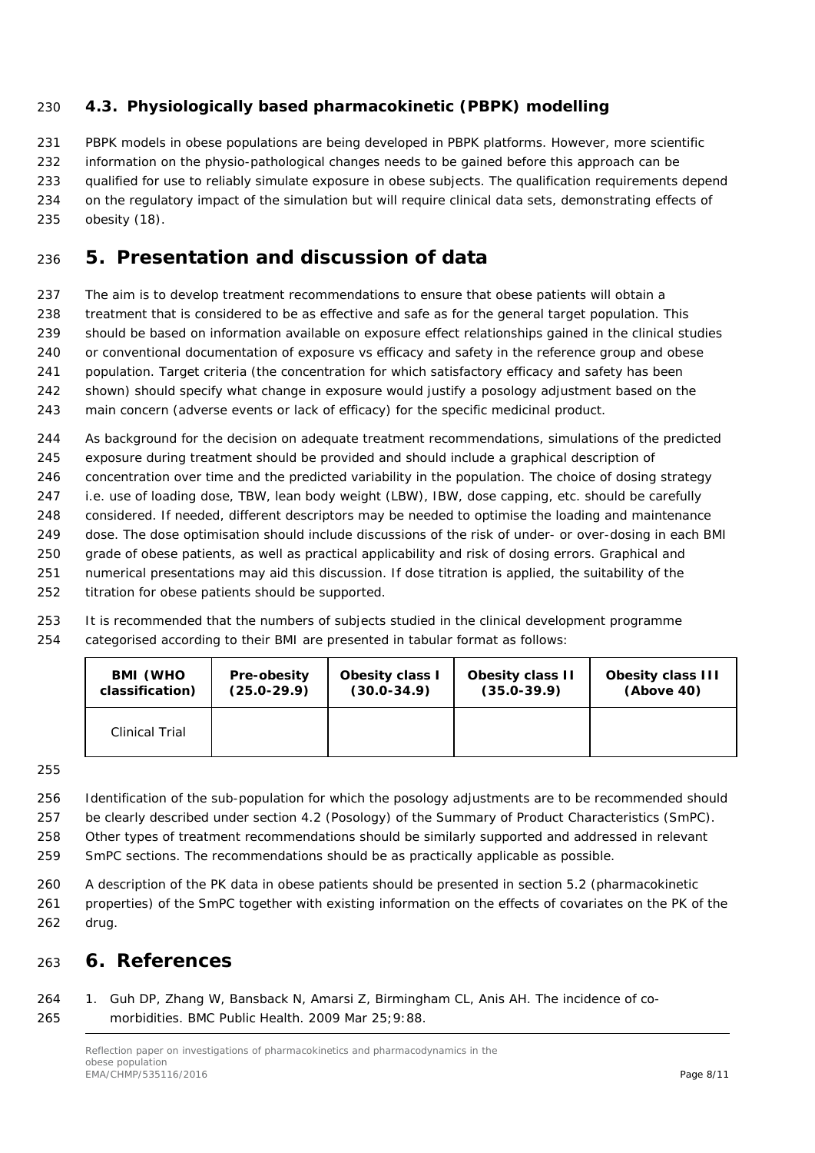### <span id="page-7-0"></span>*4.3. Physiologically based pharmacokinetic (PBPK) modelling*

231 PBPK models in obese populations are being developed in PBPK platforms. However, more scientific information on the physio-pathological changes needs to be gained before this approach can be qualified for use to reliably simulate exposure in obese subjects. The qualification requirements depend on the regulatory impact of the simulation but will require clinical data sets, demonstrating effects of obesity (18).

### <span id="page-7-1"></span>**5. Presentation and discussion of data**

 The aim is to develop treatment recommendations to ensure that obese patients will obtain a treatment that is considered to be as effective and safe as for the general target population. This should be based on information available on exposure effect relationships gained in the clinical studies or conventional documentation of exposure vs efficacy and safety in the reference group and obese population. Target criteria (the concentration for which satisfactory efficacy and safety has been shown) should specify what change in exposure would justify a posology adjustment based on the

main concern (adverse events or lack of efficacy) for the specific medicinal product.

 As background for the decision on adequate treatment recommendations, simulations of the predicted exposure during treatment should be provided and should include a graphical description of concentration over time and the predicted variability in the population. The choice of dosing strategy i.e. use of loading dose, TBW, lean body weight (LBW), IBW, dose capping, etc. should be carefully

 considered. If needed, different descriptors may be needed to optimise the loading and maintenance dose. The dose optimisation should include discussions of the risk of under- or over-dosing in each BMI

- grade of obese patients, as well as practical applicability and risk of dosing errors. Graphical and
- numerical presentations may aid this discussion. If dose titration is applied, the suitability of the titration for obese patients should be supported.

 It is recommended that the numbers of subjects studied in the clinical development programme categorised according to their BMI are presented in tabular format as follows:

| <b>BMI (WHO)</b>      | Pre-obesity     | Obesity class I | <b>Obesity class II</b> | <b>Obesity class III</b> |
|-----------------------|-----------------|-----------------|-------------------------|--------------------------|
| classification)       | $(25.0 - 29.9)$ | $(30.0 - 34.9)$ | $(35.0 - 39.9)$         | (Above 40)               |
| <b>Clinical Trial</b> |                 |                 |                         |                          |

 Identification of the sub-population for which the posology adjustments are to be recommended should be clearly described under section 4.2 (Posology) of the Summary of Product Characteristics (SmPC). Other types of treatment recommendations should be similarly supported and addressed in relevant SmPC sections. The recommendations should be as practically applicable as possible.

 A description of the PK data in obese patients should be presented in section 5.2 (pharmacokinetic properties) of the SmPC together with existing information on the effects of covariates on the PK of the drug.

### <span id="page-7-2"></span>**6. References**

### 1. Guh DP, Zhang W, Bansback N, Amarsi Z, Birmingham CL, Anis AH. The incidence of co-morbidities. BMC Public Health. 2009 Mar 25;9:88.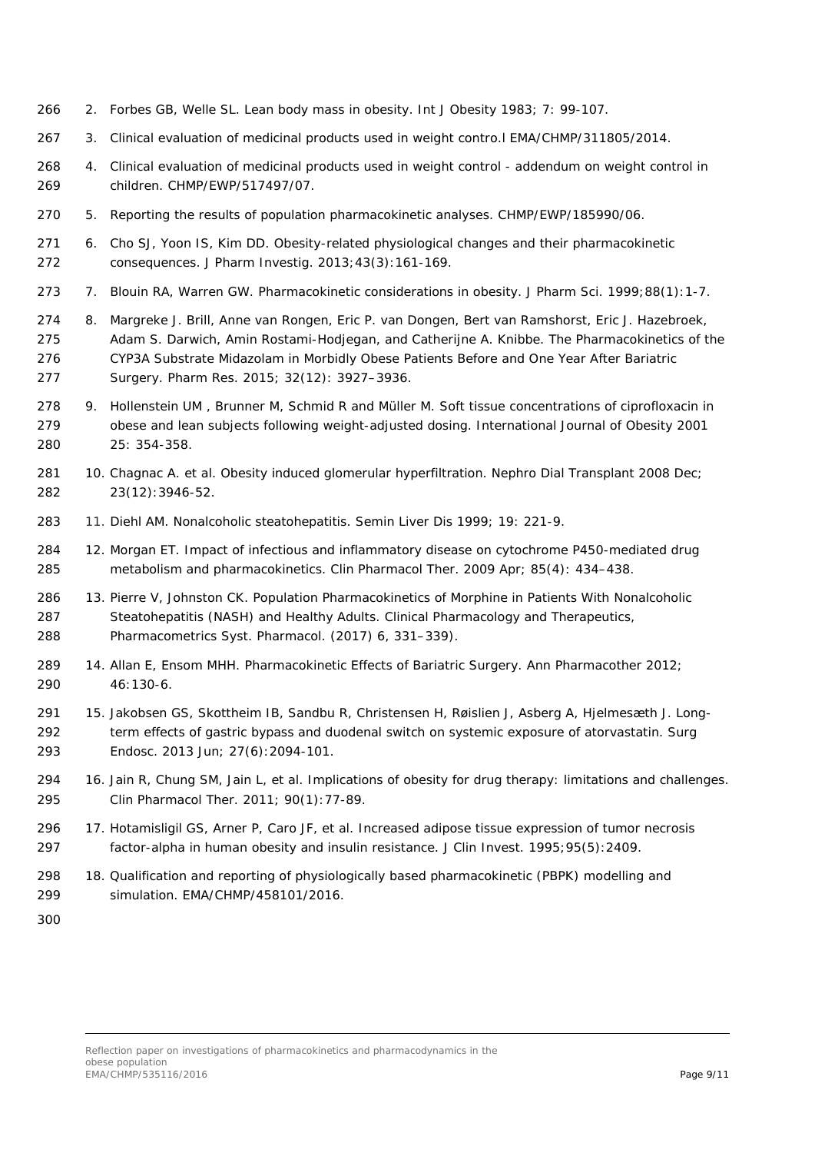- 2. Forbes GB, Welle SL. Lean body mass in obesity. Int J Obesity 1983; 7: 99-107.
- 3. Clinical evaluation of medicinal products used in weight contro.l EMA/CHMP/311805/2014.
- 4. Clinical evaluation of medicinal products used in weight control addendum on weight control in children. CHMP/EWP/517497/07.
- 5. Reporting the results of population pharmacokinetic analyses. CHMP/EWP/185990/06.
- 6. Cho SJ, Yoon IS, Kim DD. Obesity-related physiological changes and their pharmacokinetic consequences. J Pharm Investig. 2013;43(3):161-169.
- 273 7. Blouin RA, Warren GW. Pharmacokinetic considerations in obesity. J Pharm Sci. 1999;88(1):1-7.
- 8. [Margreke J. Brill,](https://www.ncbi.nlm.nih.gov/pubmed/?term=Brill%20MJ%5BAuthor%5D&cauthor=true&cauthor_uid=26202517) [Anne van Rongen,](https://www.ncbi.nlm.nih.gov/pubmed/?term=van%20Rongen%20A%5BAuthor%5D&cauthor=true&cauthor_uid=26202517) [Eric P. van Dongen,](https://www.ncbi.nlm.nih.gov/pubmed/?term=van%20Dongen%20EP%5BAuthor%5D&cauthor=true&cauthor_uid=26202517) [Bert van Ramshorst,](https://www.ncbi.nlm.nih.gov/pubmed/?term=van%20Ramshorst%20B%5BAuthor%5D&cauthor=true&cauthor_uid=26202517) [Eric J. Hazebroek,](https://www.ncbi.nlm.nih.gov/pubmed/?term=Hazebroek%20EJ%5BAuthor%5D&cauthor=true&cauthor_uid=26202517) [Adam S. Darwich,](https://www.ncbi.nlm.nih.gov/pubmed/?term=Darwich%20AS%5BAuthor%5D&cauthor=true&cauthor_uid=26202517) [Amin Rostami-Hodjegan,](https://www.ncbi.nlm.nih.gov/pubmed/?term=Rostami-Hodjegan%20A%5BAuthor%5D&cauthor=true&cauthor_uid=26202517) and [Catherijne A. Knibbe.](https://www.ncbi.nlm.nih.gov/pubmed/?term=Knibbe%20CA%5BAuthor%5D&cauthor=true&cauthor_uid=26202517) The Pharmacokinetics of the CYP3A Substrate Midazolam in Morbidly Obese Patients Before and One Year After Bariatric Surgery. [Pharm Res.](https://www.ncbi.nlm.nih.gov/pmc/articles/PMC4628089/) 2015; 32(12): 3927–3936.
- 9. Hollenstein UM , Brunner M, Schmid R and Müller M. Soft tissue concentrations of ciprofloxacin in obese and lean subjects following weight-adjusted dosing. International Journal of Obesity 2001 25: 354-358.
- 10. Chagnac A. et al. Obesity induced glomerular hyperfiltration. Nephro Dial Transplant 2008 Dec; 23(12):3946-52.
- 11. Diehl AM. Nonalcoholic steatohepatitis. Semin Liver Dis 1999; 19: 221-9.
- 12. [Morgan](https://www.ncbi.nlm.nih.gov/pubmed/?term=Morgan%20ET%5BAuthor%5D&cauthor=true&cauthor_uid=19212314) ET. Impact of infectious and inflammatory disease on cytochrome P450-mediated drug metabolism and pharmacokinetics. Clin [Pharmacol Ther. 2009 Apr; 85\(4\): 434–438.](https://www.ncbi.nlm.nih.gov/entrez/eutils/elink.fcgi?dbfrom=pubmed&retmode=ref&cmd=prlinks&id=19212314)
- 13. Pierre V, Johnston CK. Population Pharmacokinetics of Morphine in Patients With Nonalcoholic Steatohepatitis (NASH) and Healthy Adults. Clinical Pharmacology and Therapeutics, Pharmacometrics Syst. Pharmacol. (2017) 6, 331–339).
- 14. Allan E, Ensom MHH. Pharmacokinetic Effects of Bariatric Surgery. Ann Pharmacother 2012; 46:130-6.
- 15. [Jakobsen GS,](https://www.ncbi.nlm.nih.gov/pubmed/?term=Jakobsen%20GS%5BAuthor%5D&cauthor=true&cauthor_uid=23247745) [Skottheim IB,](https://www.ncbi.nlm.nih.gov/pubmed/?term=Skottheim%20IB%5BAuthor%5D&cauthor=true&cauthor_uid=23247745) [Sandbu R,](https://www.ncbi.nlm.nih.gov/pubmed/?term=Sandbu%20R%5BAuthor%5D&cauthor=true&cauthor_uid=23247745) [Christensen H,](https://www.ncbi.nlm.nih.gov/pubmed/?term=Christensen%20H%5BAuthor%5D&cauthor=true&cauthor_uid=23247745) [Røislien J,](https://www.ncbi.nlm.nih.gov/pubmed/?term=R%C3%B8islien%20J%5BAuthor%5D&cauthor=true&cauthor_uid=23247745) [Asberg A,](https://www.ncbi.nlm.nih.gov/pubmed/?term=Asberg%20A%5BAuthor%5D&cauthor=true&cauthor_uid=23247745) [Hjelmesæth J.](https://www.ncbi.nlm.nih.gov/pubmed/?term=Hjelmes%C3%A6th%20J%5BAuthor%5D&cauthor=true&cauthor_uid=23247745) Long- term effects of gastric bypass and duodenal switch on systemic exposure of atorvastatin. [Surg](https://www.ncbi.nlm.nih.gov/pubmed/23247745)  [Endosc.](https://www.ncbi.nlm.nih.gov/pubmed/23247745) 2013 Jun; 27(6):2094-101.
- 16. Jain R, Chung SM, Jain L, et al. Implications of obesity for drug therapy: limitations and challenges. Clin Pharmacol Ther. 2011; 90(1):77-89.
- 17. Hotamisligil GS, Arner P, Caro JF, et al. Increased adipose tissue expression of tumor necrosis factor-alpha in human obesity and insulin resistance. J Clin Invest. 1995;95(5):2409.
- 18. Qualification and reporting of physiologically based pharmacokinetic (PBPK) modelling and simulation. EMA/*CHMP*/458101/2016.
-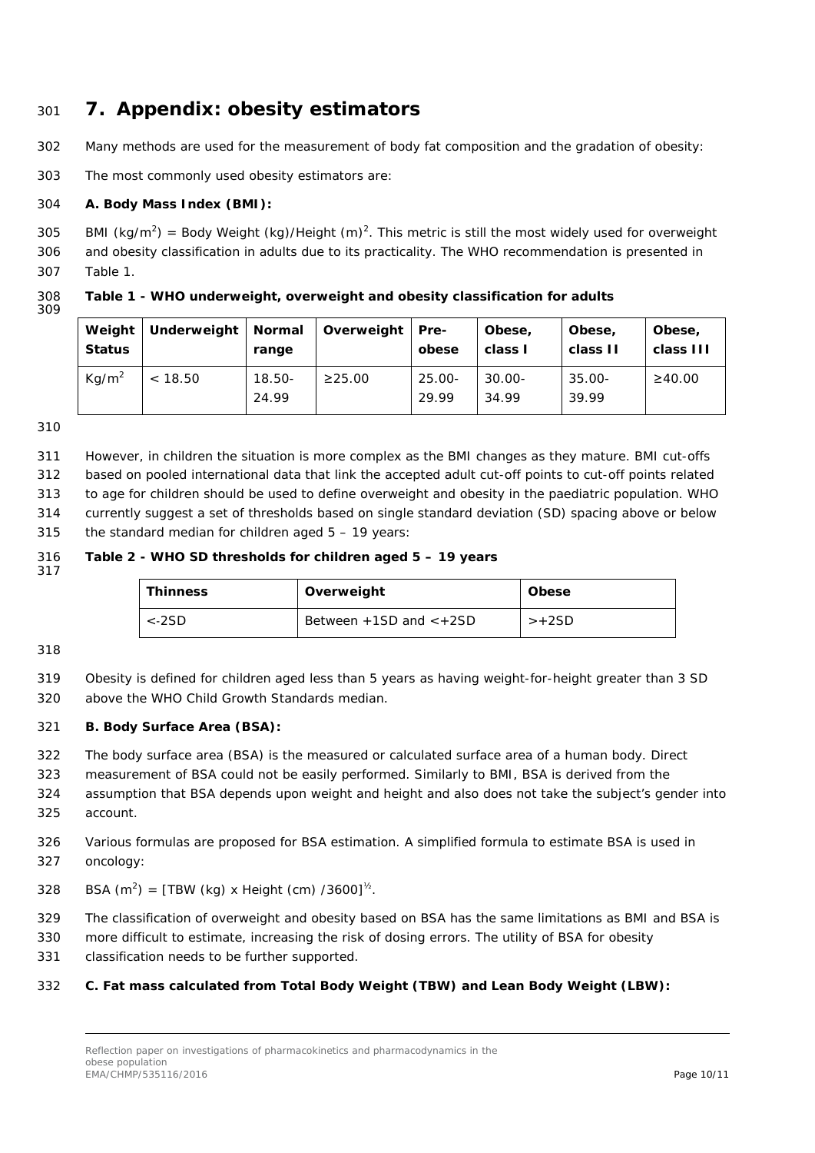### <span id="page-9-0"></span><sup>301</sup> **7. Appendix: obesity estimators**

302 Many methods are used for the measurement of body fat composition and the gradation of obesity:

303 The most commonly used obesity estimators are:

#### 304 **A. Body Mass Index (BMI):**

305 BMI (kg/m<sup>2</sup>) = Body Weight (kg)/Height (m)<sup>2</sup>. This metric is still the most widely used for overweight

306 and obesity classification in adults due to its practicality. The WHO recommendation is presented in 307 Table 1.

308 **Table 1 - WHO underweight, overweight and obesity classification for adults** 309

| Weight<br><b>Status</b> | Underweight   Normal | range              | Overweight   | Pre-<br>obese      | Obese,<br>class I  | Obese,<br>class II | Obese,<br>class III |
|-------------------------|----------------------|--------------------|--------------|--------------------|--------------------|--------------------|---------------------|
| Kq/m <sup>2</sup>       | < 18.50              | $18.50 -$<br>24.99 | $\geq$ 25.00 | $25.00 -$<br>29.99 | $30.00 -$<br>34.99 | $35.00 -$<br>39.99 | $\geq 40.00$        |

310

311 However, in children the situation is more complex as the BMI changes as they mature. BMI cut-offs

312 based on pooled international data that link the accepted adult cut-off points to cut-off points related

313 to age for children should be used to define overweight and obesity in the paediatric population. WHO

314 currently suggest a set of thresholds based on single standard deviation (SD) spacing above or below

315 the standard median for children aged  $5 - 19$  years:

#### 316 **Table 2 - WHO SD thresholds for children aged 5 – 19 years** 317

| <b>Thinness</b> | Overweight                    | <b>Obese</b> |
|-----------------|-------------------------------|--------------|
| $<$ -2SD        | Between $+1SD$ and $\lt +2SD$ | >+2SD        |

318

319 Obesity is defined for children aged less than 5 years as having weight-for-height greater than 3 SD 320 above the WHO Child Growth Standards median.

#### 321 **B. Body Surface Area (BSA):**

322 The body surface area (BSA) is the measured or calculated [surface area](https://en.wikipedia.org/wiki/Surface_area) of a [human body.](https://en.wikipedia.org/wiki/Human_body) Direct

323 measurement of BSA could not be easily performed. Similarly to BMI, BSA is derived from the

- 324 assumption that BSA depends upon weight and height and also does not take the subject's gender into 325 account.
- 326 Various formulas are proposed for BSA estimation. A simplified formula to estimate BSA is used in 327 oncology:

328 BSA  $(m^2) = [TBW (kg) \times Height (cm) /3600]^{1/2}$ .

- 329 The classification of overweight and obesity based on BSA has the same limitations as BMI and BSA is
- 330 more difficult to estimate, increasing the risk of dosing errors. The utility of BSA for obesity
- 331 classification needs to be further supported.

#### 332 **C. Fat mass calculated from Total Body Weight (TBW) and Lean Body Weight (LBW):**